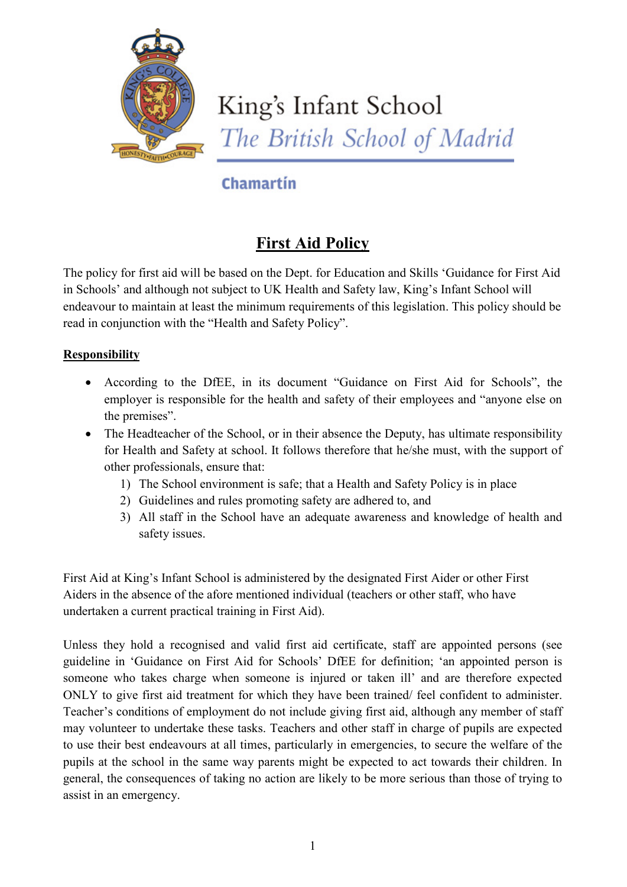

# King's Infant School The British School of Madrid

## Chamartin

## **First Aid Policy**

The policy for first aid will be based on the Dept. for Education and Skills 'Guidance for First Aid in Schools' and although not subject to UK Health and Safety law, King's Infant School will endeavour to maintain at least the minimum requirements of this legislation. This policy should be read in conjunction with the "Health and Safety Policy".

#### **Responsibility**

- According to the DfEE, in its document "Guidance on First Aid for Schools", the employer is responsible for the health and safety of their employees and "anyone else on the premises".
- The Headteacher of the School, or in their absence the Deputy, has ultimate responsibility for Health and Safety at school. It follows therefore that he/she must, with the support of other professionals, ensure that:
	- 1) The School environment is safe; that a Health and Safety Policy is in place
	- 2) Guidelines and rules promoting safety are adhered to, and
	- 3) All staff in the School have an adequate awareness and knowledge of health and safety issues.

First Aid at King's Infant School is administered by the designated First Aider or other First Aiders in the absence of the afore mentioned individual (teachers or other staff, who have undertaken a current practical training in First Aid).

Unless they hold a recognised and valid first aid certificate, staff are appointed persons (see guideline in 'Guidance on First Aid for Schools' DfEE for definition; 'an appointed person is someone who takes charge when someone is injured or taken ill' and are therefore expected ONLY to give first aid treatment for which they have been trained/ feel confident to administer. Teacher's conditions of employment do not include giving first aid, although any member of staff may volunteer to undertake these tasks. Teachers and other staff in charge of pupils are expected to use their best endeavours at all times, particularly in emergencies, to secure the welfare of the pupils at the school in the same way parents might be expected to act towards their children. In general, the consequences of taking no action are likely to be more serious than those of trying to assist in an emergency.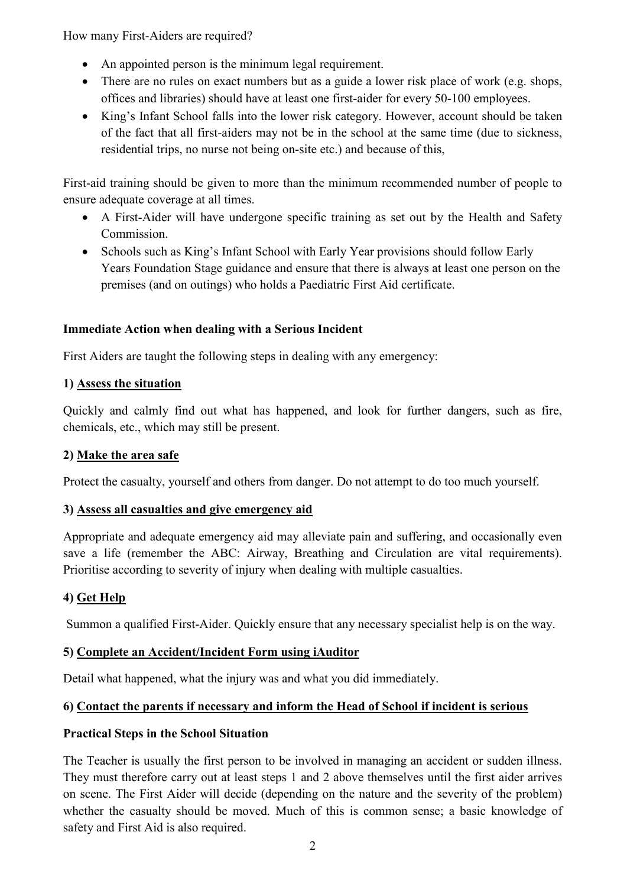How many First-Aiders are required?

- An appointed person is the minimum legal requirement.
- There are no rules on exact numbers but as a guide a lower risk place of work (e.g. shops, offices and libraries) should have at least one first-aider for every 50-100 employees.
- King's Infant School falls into the lower risk category. However, account should be taken of the fact that all first-aiders may not be in the school at the same time (due to sickness, residential trips, no nurse not being on-site etc.) and because of this,

First-aid training should be given to more than the minimum recommended number of people to ensure adequate coverage at all times.

- A First-Aider will have undergone specific training as set out by the Health and Safety Commission.
- Schools such as King's Infant School with Early Year provisions should follow Early Years Foundation Stage guidance and ensure that there is always at least one person on the premises (and on outings) who holds a Paediatric First Aid certificate.

#### **Immediate Action when dealing with a Serious Incident**

First Aiders are taught the following steps in dealing with any emergency:

#### **1) Assess the situation**

Quickly and calmly find out what has happened, and look for further dangers, such as fire, chemicals, etc., which may still be present.

#### **2) Make the area safe**

Protect the casualty, yourself and others from danger. Do not attempt to do too much yourself.

#### **3) Assess all casualties and give emergency aid**

Appropriate and adequate emergency aid may alleviate pain and suffering, and occasionally even save a life (remember the ABC: Airway, Breathing and Circulation are vital requirements). Prioritise according to severity of injury when dealing with multiple casualties.

### **4) Get Help**

Summon a qualified First-Aider. Quickly ensure that any necessary specialist help is on the way.

#### **5) Complete an Accident/Incident Form using iAuditor**

Detail what happened, what the injury was and what you did immediately.

#### **6) Contact the parents if necessary and inform the Head of School if incident is serious**

#### **Practical Steps in the School Situation**

The Teacher is usually the first person to be involved in managing an accident or sudden illness. They must therefore carry out at least steps 1 and 2 above themselves until the first aider arrives on scene. The First Aider will decide (depending on the nature and the severity of the problem) whether the casualty should be moved. Much of this is common sense; a basic knowledge of safety and First Aid is also required.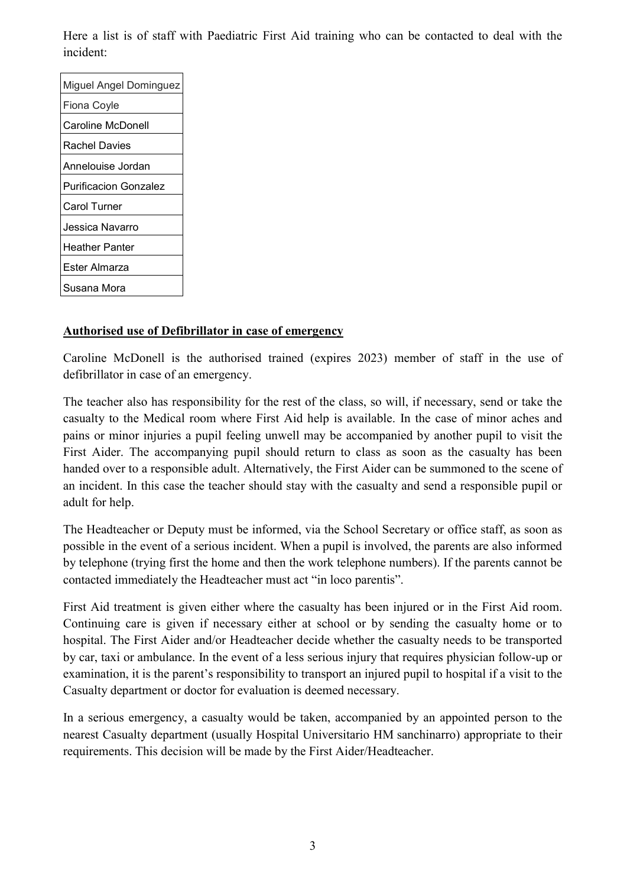Here a list is of staff with Paediatric First Aid training who can be contacted to deal with the incident:

| Miguel Angel Dominguez |  |
|------------------------|--|
| Fiona Coyle            |  |
| Caroline McDonell      |  |
| <b>Rachel Davies</b>   |  |
| Annelouise Jordan      |  |
| Purificacion Gonzalez  |  |
| Carol Turner           |  |
| Jessica Navarro        |  |
| Heather Panter         |  |
| Ester Almarza          |  |
| Susana Mora            |  |

#### **Authorised use of Defibrillator in case of emergency**

Caroline McDonell is the authorised trained (expires 2023) member of staff in the use of defibrillator in case of an emergency.

The teacher also has responsibility for the rest of the class, so will, if necessary, send or take the casualty to the Medical room where First Aid help is available. In the case of minor aches and pains or minor injuries a pupil feeling unwell may be accompanied by another pupil to visit the First Aider. The accompanying pupil should return to class as soon as the casualty has been handed over to a responsible adult. Alternatively, the First Aider can be summoned to the scene of an incident. In this case the teacher should stay with the casualty and send a responsible pupil or adult for help.

The Headteacher or Deputy must be informed, via the School Secretary or office staff, as soon as possible in the event of a serious incident. When a pupil is involved, the parents are also informed by telephone (trying first the home and then the work telephone numbers). If the parents cannot be contacted immediately the Headteacher must act "in loco parentis".

First Aid treatment is given either where the casualty has been injured or in the First Aid room. Continuing care is given if necessary either at school or by sending the casualty home or to hospital. The First Aider and/or Headteacher decide whether the casualty needs to be transported by car, taxi or ambulance. In the event of a less serious injury that requires physician follow-up or examination, it is the parent's responsibility to transport an injured pupil to hospital if a visit to the Casualty department or doctor for evaluation is deemed necessary.

In a serious emergency, a casualty would be taken, accompanied by an appointed person to the nearest Casualty department (usually Hospital Universitario HM [sanchinarro\)](https://www.google.com/search?safe=active&rlz=1C1GCEA_enES837ES838&sxsrf=AOaemvIjN5V64keCVXX90lsCi7nMRiJKzA:1633344548378&q=HM+sanchinarro&spell=1&sa=X&ved=2ahUKEwin2OfMyrDzAhUvDGMBHRHCBcYQkeECKAB6BAgCEDA) appropriate to their requirements. This decision will be made by the First Aider/Headteacher.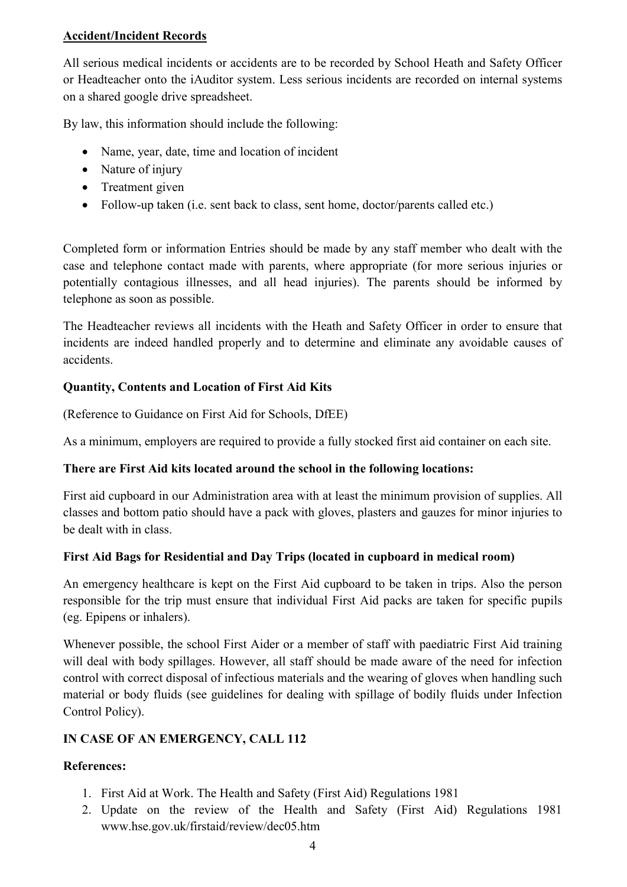#### **Accident/Incident Records**

All serious medical incidents or accidents are to be recorded by School Heath and Safety Officer or Headteacher onto the iAuditor system. Less serious incidents are recorded on internal systems on a shared google drive spreadsheet.

By law, this information should include the following:

- Name, year, date, time and location of incident
- Nature of injury
- Treatment given
- Follow-up taken (i.e. sent back to class, sent home, doctor/parents called etc.)

Completed form or information Entries should be made by any staff member who dealt with the case and telephone contact made with parents, where appropriate (for more serious injuries or potentially contagious illnesses, and all head injuries). The parents should be informed by telephone as soon as possible.

The Headteacher reviews all incidents with the Heath and Safety Officer in order to ensure that incidents are indeed handled properly and to determine and eliminate any avoidable causes of accidents.

#### **Quantity, Contents and Location of First Aid Kits**

(Reference to Guidance on First Aid for Schools, DfEE)

As a minimum, employers are required to provide a fully stocked first aid container on each site.

#### **There are First Aid kits located around the school in the following locations:**

First aid cupboard in our Administration area with at least the minimum provision of supplies. All classes and bottom patio should have a pack with gloves, plasters and gauzes for minor injuries to be dealt with in class.

#### **First Aid Bags for Residential and Day Trips (located in cupboard in medical room)**

An emergency healthcare is kept on the First Aid cupboard to be taken in trips. Also the person responsible for the trip must ensure that individual First Aid packs are taken for specific pupils (eg. Epipens or inhalers).

Whenever possible, the school First Aider or a member of staff with paediatric First Aid training will deal with body spillages. However, all staff should be made aware of the need for infection control with correct disposal of infectious materials and the wearing of gloves when handling such material or body fluids (see guidelines for dealing with spillage of bodily fluids under Infection Control Policy).

#### **IN CASE OF AN EMERGENCY, CALL 112**

#### **References:**

- 1. First Aid at Work. The Health and Safety (First Aid) Regulations 1981
- 2. Update on the review of the Health and Safety (First Aid) Regulations 1981 www.hse.gov.uk/firstaid/review/dec05.htm